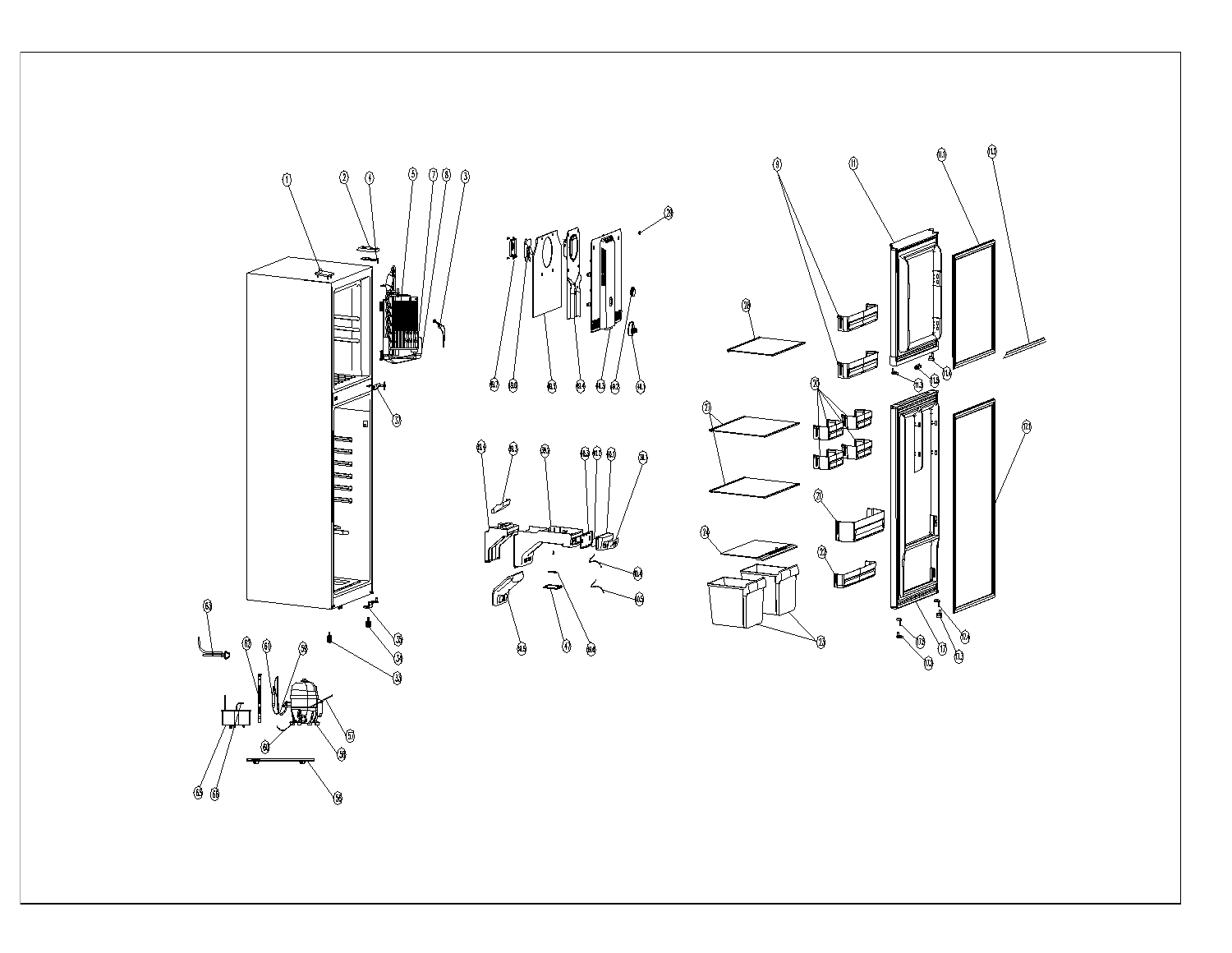